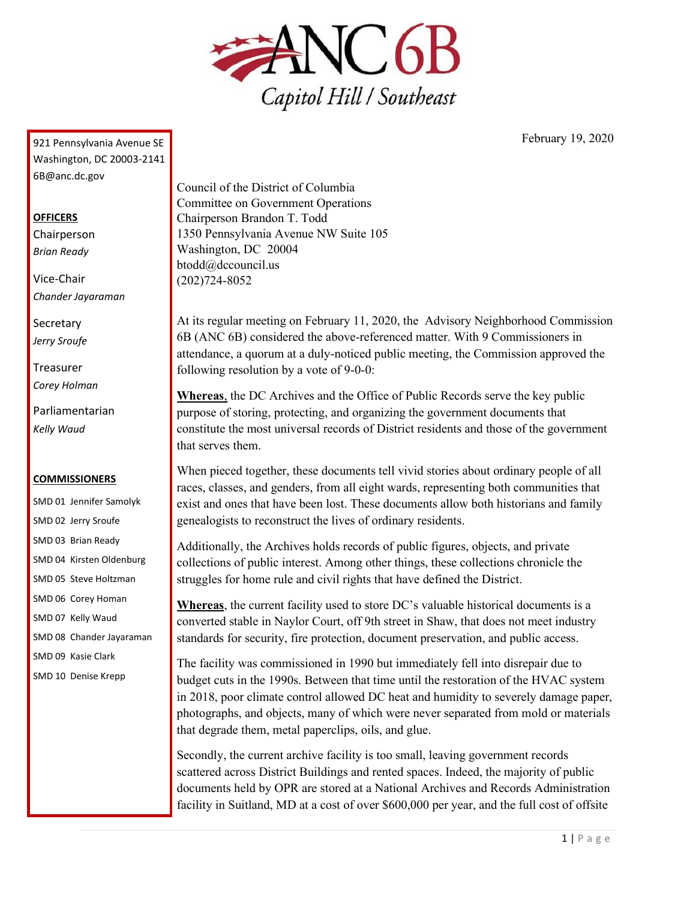

February 19, 2020

921 Pennsylvania Avenue SE Washington, DC 20003-2141 6B@anc.dc.gov

## **OFFICERS**

Chairperson *Brian Ready*

Vice-Chair *Chander Jayaraman*

**Secretary** *Jerry Sroufe*

Treasurer *Corey Holman*

Parliamentarian *Kelly Waud*

## **COMMISSIONERS**

SMD 01 Jennifer Samolyk SMD 02 Jerry Sroufe SMD 03 Brian Ready SMD 04 Kirsten Oldenburg SMD 05 Steve Holtzman SMD 06 Corey Homan SMD 07 Kelly Waud SMD 08 Chander Jayaraman SMD 09 Kasie Clark SMD 10 Denise Krepp

Council of the District of Columbia Committee on Government Operations Chairperson Brandon T. Todd 1350 Pennsylvania Avenue NW Suite 105 Washington, DC 20004 btodd@dccouncil.us (202)724-8052

At its regular meeting on February 11, 2020, the Advisory Neighborhood Commission 6B (ANC 6B) considered the above-referenced matter. With 9 Commissioners in attendance, a quorum at a duly-noticed public meeting, the Commission approved the following resolution by a vote of 9-0-0:

**Whereas**, the DC Archives and the Office of Public Records serve the key public purpose of storing, protecting, and organizing the government documents that constitute the most universal records of District residents and those of the government that serves them.

When pieced together, these documents tell vivid stories about ordinary people of all races, classes, and genders, from all eight wards, representing both communities that exist and ones that have been lost. These documents allow both historians and family genealogists to reconstruct the lives of ordinary residents.

Additionally, the Archives holds records of public figures, objects, and private collections of public interest. Among other things, these collections chronicle the struggles for home rule and civil rights that have defined the District.

**Whereas**, the current facility used to store DC's valuable historical documents is a converted stable in Naylor Court, off 9th street in Shaw, that does not meet industry standards for security, fire protection, document preservation, and public access.

The facility was commissioned in 1990 but immediately fell into disrepair due to budget cuts in the 1990s. Between that time until the restoration of the HVAC system in 2018, poor climate control allowed DC heat and humidity to severely damage paper, photographs, and objects, many of which were never separated from mold or materials that degrade them, metal paperclips, oils, and glue.

Secondly, the current archive facility is too small, leaving government records scattered across District Buildings and rented spaces. Indeed, the majority of public documents held by OPR are stored at a National Archives and Records Administration facility in Suitland, MD at a cost of over \$600,000 per year, and the full cost of offsite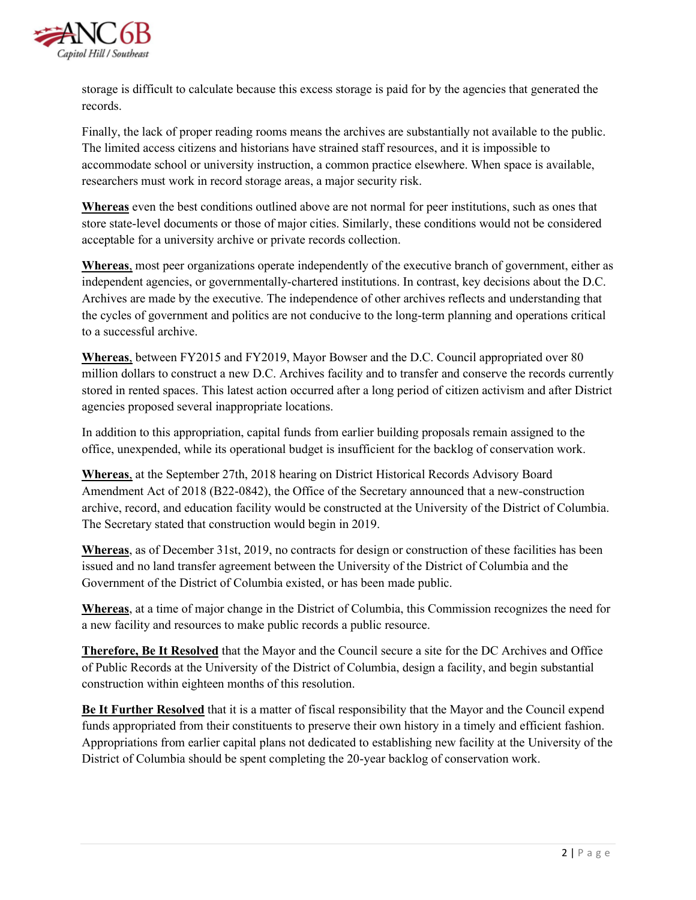

storage is difficult to calculate because this excess storage is paid for by the agencies that generated the records.

Finally, the lack of proper reading rooms means the archives are substantially not available to the public. The limited access citizens and historians have strained staff resources, and it is impossible to accommodate school or university instruction, a common practice elsewhere. When space is available, researchers must work in record storage areas, a major security risk.

**Whereas** even the best conditions outlined above are not normal for peer institutions, such as ones that store state-level documents or those of major cities. Similarly, these conditions would not be considered acceptable for a university archive or private records collection.

**Whereas**, most peer organizations operate independently of the executive branch of government, either as independent agencies, or governmentally-chartered institutions. In contrast, key decisions about the D.C. Archives are made by the executive. The independence of other archives reflects and understanding that the cycles of government and politics are not conducive to the long-term planning and operations critical to a successful archive.

**Whereas**, between FY2015 and FY2019, Mayor Bowser and the D.C. Council appropriated over 80 million dollars to construct a new D.C. Archives facility and to transfer and conserve the records currently stored in rented spaces. This latest action occurred after a long period of citizen activism and after District agencies proposed several inappropriate locations.

In addition to this appropriation, capital funds from earlier building proposals remain assigned to the office, unexpended, while its operational budget is insufficient for the backlog of conservation work.

**Whereas**, at the September 27th, 2018 hearing on District Historical Records Advisory Board Amendment Act of 2018 (B22-0842), the Office of the Secretary announced that a new-construction archive, record, and education facility would be constructed at the University of the District of Columbia. The Secretary stated that construction would begin in 2019.

**Whereas**, as of December 31st, 2019, no contracts for design or construction of these facilities has been issued and no land transfer agreement between the University of the District of Columbia and the Government of the District of Columbia existed, or has been made public.

**Whereas**, at a time of major change in the District of Columbia, this Commission recognizes the need for a new facility and resources to make public records a public resource.

**Therefore, Be It Resolved** that the Mayor and the Council secure a site for the DC Archives and Office of Public Records at the University of the District of Columbia, design a facility, and begin substantial construction within eighteen months of this resolution.

**Be It Further Resolved** that it is a matter of fiscal responsibility that the Mayor and the Council expend funds appropriated from their constituents to preserve their own history in a timely and efficient fashion. Appropriations from earlier capital plans not dedicated to establishing new facility at the University of the District of Columbia should be spent completing the 20-year backlog of conservation work.